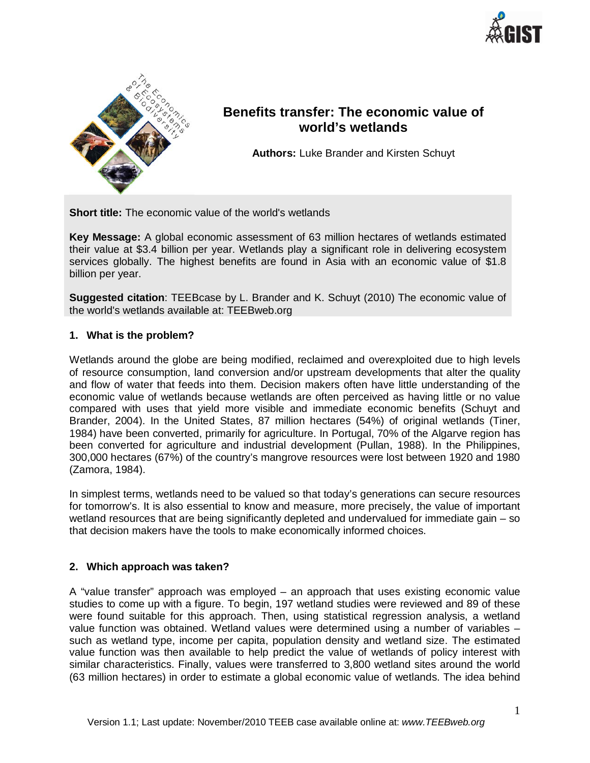



# **Benefits transfer: The economic value of world's wetlands**

**Authors:** Luke Brander and Kirsten Schuyt

**Short title:** The economic value of the world's wetlands

**Key Message:** A global economic assessment of 63 million hectares of wetlands estimated their value at \$3.4 billion per year. Wetlands play a significant role in delivering ecosystem services globally. The highest benefits are found in Asia with an economic value of \$1.8 billion per year.

**Suggested citation**: TEEBcase by L. Brander and K. Schuyt (2010) The economic value of the world's wetlands available at: TEEBweb.org

### **1. What is the problem?**

Wetlands around the globe are being modified, reclaimed and overexploited due to high levels of resource consumption, land conversion and/or upstream developments that alter the quality and flow of water that feeds into them. Decision makers often have little understanding of the economic value of wetlands because wetlands are often perceived as having little or no value compared with uses that yield more visible and immediate economic benefits (Schuyt and Brander, 2004). In the United States, 87 million hectares (54%) of original wetlands (Tiner, 1984) have been converted, primarily for agriculture. In Portugal, 70% of the Algarve region has been converted for agriculture and industrial development (Pullan, 1988). In the Philippines, 300,000 hectares (67%) of the country's mangrove resources were lost between 1920 and 1980 (Zamora, 1984).

In simplest terms, wetlands need to be valued so that today's generations can secure resources for tomorrow's. It is also essential to know and measure, more precisely, the value of important wetland resources that are being significantly depleted and undervalued for immediate gain – so that decision makers have the tools to make economically informed choices.

## **2. Which approach was taken?**

A "value transfer" approach was employed – an approach that uses existing economic value studies to come up with a figure. To begin, 197 wetland studies were reviewed and 89 of these were found suitable for this approach. Then, using statistical regression analysis, a wetland value function was obtained. Wetland values were determined using a number of variables – such as wetland type, income per capita, population density and wetland size. The estimated value function was then available to help predict the value of wetlands of policy interest with similar characteristics. Finally, values were transferred to 3,800 wetland sites around the world (63 million hectares) in order to estimate a global economic value of wetlands. The idea behind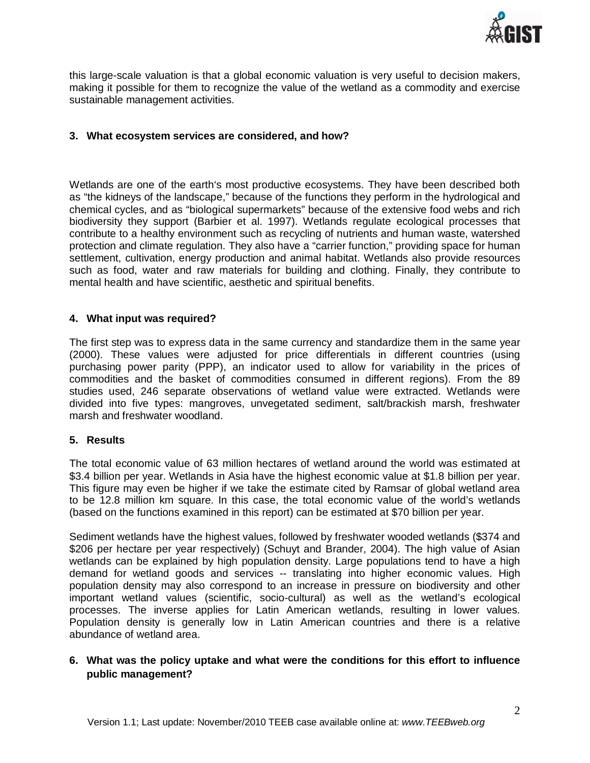

this large-scale valuation is that a global economic valuation is very useful to decision makers, making it possible for them to recognize the value of the wetland as a commodity and exercise sustainable management activities.

## **3. What ecosystem services are considered, and how?**

Wetlands are one of the earth's most productive ecosystems. They have been described both as "the kidneys of the landscape," because of the functions they perform in the hydrological and chemical cycles, and as "biological supermarkets" because of the extensive food webs and rich biodiversity they support (Barbier et al. 1997). Wetlands regulate ecological processes that contribute to a healthy environment such as recycling of nutrients and human waste, watershed protection and climate regulation. They also have a "carrier function," providing space for human settlement, cultivation, energy production and animal habitat. Wetlands also provide resources such as food, water and raw materials for building and clothing. Finally, they contribute to mental health and have scientific, aesthetic and spiritual benefits.

### **4. What input was required?**

The first step was to express data in the same currency and standardize them in the same year (2000). These values were adjusted for price differentials in different countries (using purchasing power parity (PPP), an indicator used to allow for variability in the prices of commodities and the basket of commodities consumed in different regions). From the 89 studies used, 246 separate observations of wetland value were extracted. Wetlands were divided into five types: mangroves, unvegetated sediment, salt/brackish marsh, freshwater marsh and freshwater woodland.

#### **5. Results**

The total economic value of 63 million hectares of wetland around the world was estimated at \$3.4 billion per year. Wetlands in Asia have the highest economic value at \$1.8 billion per year. This figure may even be higher if we take the estimate cited by Ramsar of global wetland area to be 12.8 million km square. In this case, the total economic value of the world's wetlands (based on the functions examined in this report) can be estimated at \$70 billion per year.

Sediment wetlands have the highest values, followed by freshwater wooded wetlands (\$374 and \$206 per hectare per year respectively) (Schuyt and Brander, 2004). The high value of Asian wetlands can be explained by high population density. Large populations tend to have a high demand for wetland goods and services -- translating into higher economic values. High population density may also correspond to an increase in pressure on biodiversity and other important wetland values (scientific, socio-cultural) as well as the wetland's ecological processes. The inverse applies for Latin American wetlands, resulting in lower values. Population density is generally low in Latin American countries and there is a relative abundance of wetland area.

# **6. What was the policy uptake and what were the conditions for this effort to influence public management?**